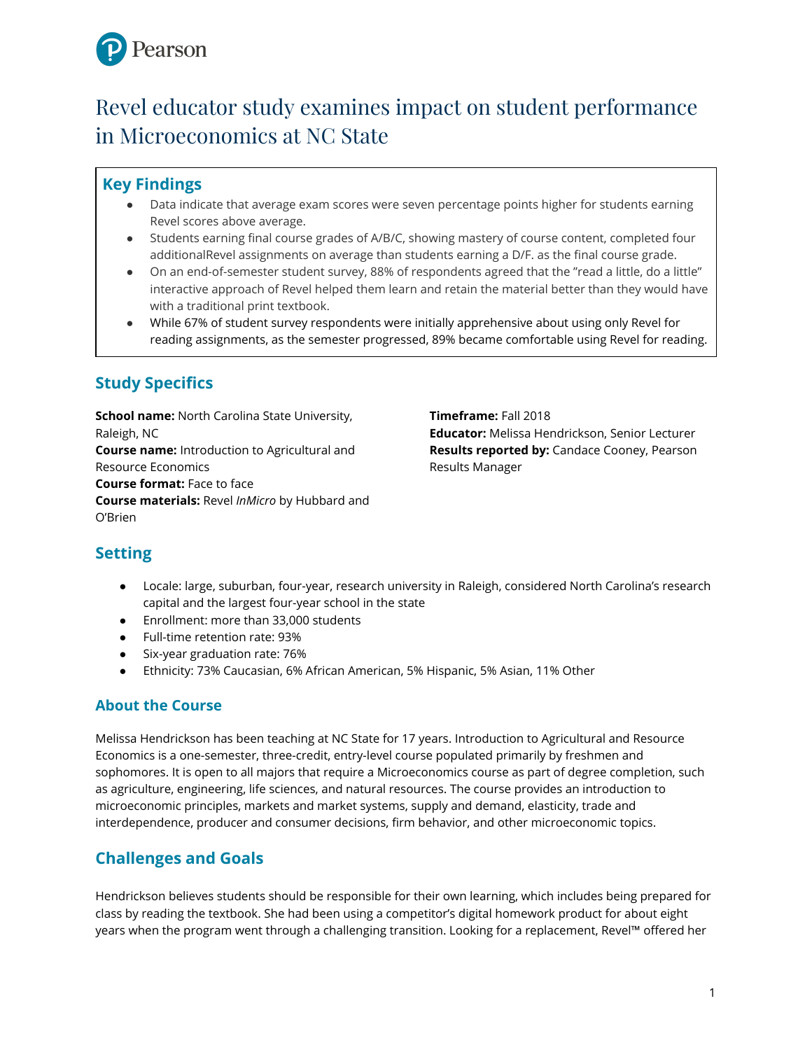

# Revel educator study examines impact on student performance in Microeconomics at NC State

### **Key Findings**

- Data indicate that average exam scores were seven percentage points higher for students earning Revel scores above average.
- Students earning final course grades of A/B/C, showing mastery of course content, completed four additionalRevel assignments on average than students earning a D/F. as the final course grade.
- On an end-of-semester student survey, 88% of respondents agreed that the "read a little, do a little" interactive approach of Revel helped them learn and retain the material better than they would have with a traditional print textbook.
- While 67% of student survey respondents were initially apprehensive about using only Revel for reading assignments, as the semester progressed, 89% became comfortable using Revel for reading.

## **Study Specifics**

**School name:** North Carolina State University, Raleigh, NC **Course name:** Introduction to Agricultural and Resource Economics **Course format:** Face to face **Course materials:** Revel *InMicro* by Hubbard and O'Brien

**Timeframe:** Fall 2018 **Educator:** Melissa Hendrickson, Senior Lecturer **Results reported by:** Candace Cooney, Pearson Results Manager

### **Setting**

- Locale: large, suburban, four-year, research university in Raleigh, considered North Carolina's research capital and the largest four-year school in the state
- Enrollment: more than 33,000 students
- Full-time retention rate: 93%
- Six-year graduation rate: 76%
- Ethnicity: 73% Caucasian, 6% African American, 5% Hispanic, 5% Asian, 11% Other

### **About the Course**

Melissa Hendrickson has been teaching at NC State for 17 years. Introduction to Agricultural and Resource Economics is a one-semester, three-credit, entry-level course populated primarily by freshmen and sophomores. It is open to all majors that require a Microeconomics course as part of degree completion, such as agriculture, engineering, life sciences, and natural resources. The course provides an introduction to microeconomic principles, markets and market systems, supply and demand, elasticity, trade and interdependence, producer and consumer decisions, firm behavior, and other microeconomic topics.

## **Challenges and Goals**

Hendrickson believes students should be responsible for their own learning, which includes being prepared for class by reading the textbook. She had been using a competitor's digital homework product for about eight years when the program went through a challenging transition. Looking for a replacement, Revel™ offered her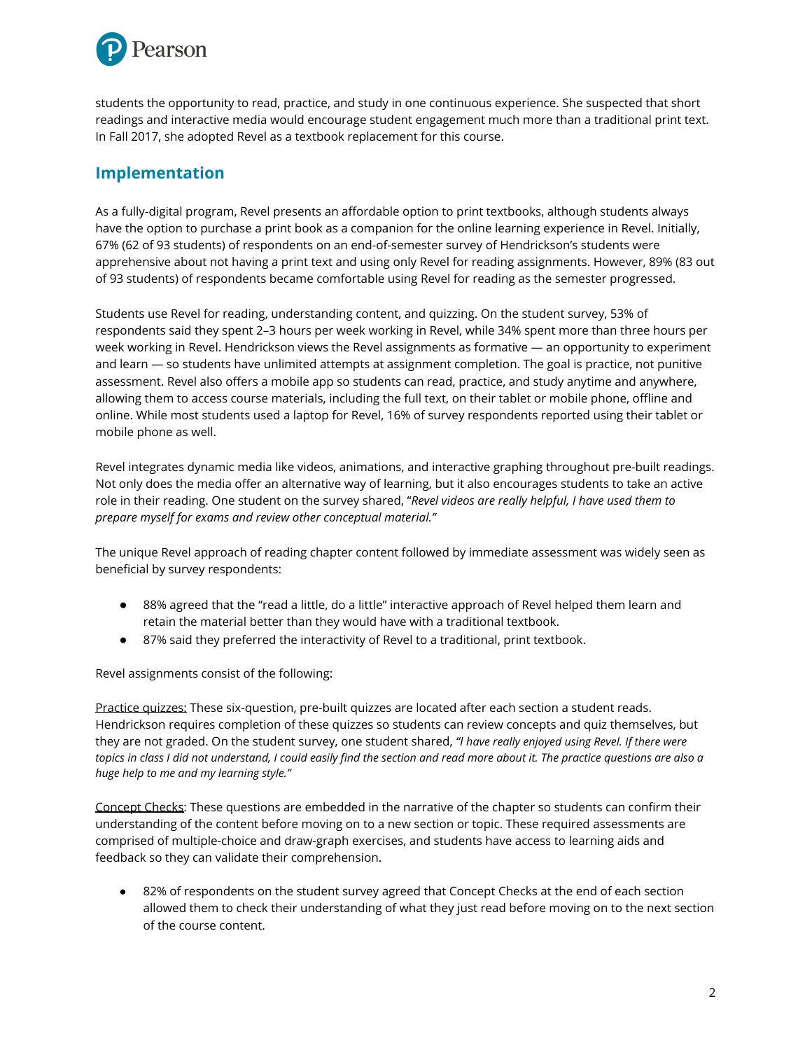

students the opportunity to read, practice, and study in one continuous experience. She suspected that short readings and interactive media would encourage student engagement much more than a traditional print text. In Fall 2017, she adopted Revel as a textbook replacement for this course.

### **Implementation**

As a fully-digital program, Revel presents an affordable option to print textbooks, although students always have the option to purchase a print book as a companion for the online learning experience in Revel. Initially, 67% (62 of 93 students) of respondents on an end-of-semester survey of Hendrickson's students were apprehensive about not having a print text and using only Revel for reading assignments. However, 89% (83 out of 93 students) of respondents became comfortable using Revel for reading as the semester progressed.

Students use Revel for reading, understanding content, and quizzing. On the student survey, 53% of respondents said they spent 2–3 hours per week working in Revel, while 34% spent more than three hours per week working in Revel. Hendrickson views the Revel assignments as formative — an opportunity to experiment and learn — so students have unlimited attempts at assignment completion. The goal is practice, not punitive assessment. Revel also offers a mobile app so students can read, practice, and study anytime and anywhere, allowing them to access course materials, including the full text, on their tablet or mobile phone, offline and online. While most students used a laptop for Revel, 16% of survey respondents reported using their tablet or mobile phone as well.

Revel integrates dynamic media like videos, animations, and interactive graphing throughout pre-built readings. Not only does the media offer an alternative way of learning, but it also encourages students to take an active role in their reading. One student on the survey shared, "*Revel videos are really helpful, I have used them to prepare myself for exams and review other conceptual material."*

The unique Revel approach of reading chapter content followed by immediate assessment was widely seen as beneficial by survey respondents:

- 88% agreed that the "read a little, do a little" interactive approach of Revel helped them learn and retain the material better than they would have with a traditional textbook.
- 87% said they preferred the interactivity of Revel to a traditional, print textbook.

Revel assignments consist of the following:

Practice quizzes: These six-question, pre-built quizzes are located after each section a student reads. Hendrickson requires completion of these quizzes so students can review concepts and quiz themselves, but they are not graded. On the student survey, one student shared, *"I have really enjoyed using Revel. If there were* topics in class I did not understand, I could easily find the section and read more about it. The practice questions are also a *huge help to me and my learning style."*

Concept Checks: These questions are embedded in the narrative of the chapter so students can confirm their understanding of the content before moving on to a new section or topic. These required assessments are comprised of multiple-choice and draw-graph exercises, and students have access to learning aids and feedback so they can validate their comprehension.

82% of respondents on the student survey agreed that Concept Checks at the end of each section allowed them to check their understanding of what they just read before moving on to the next section of the course content.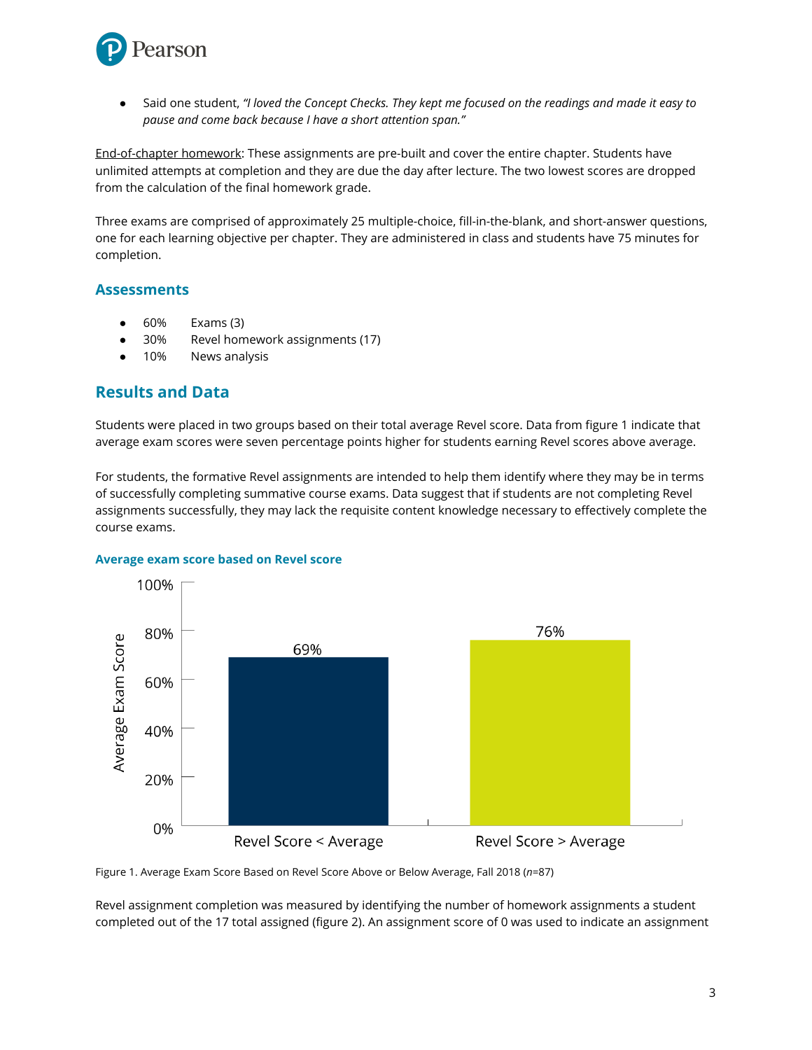

*●* Said one student, *"I loved the Concept Checks. They kept me focused on the readings and made it easy to pause and come back because I have a short attention span."*

End-of-chapter homework: These assignments are pre-built and cover the entire chapter. Students have unlimited attempts at completion and they are due the day after lecture. The two lowest scores are dropped from the calculation of the final homework grade.

Three exams are comprised of approximately 25 multiple-choice, fill-in-the-blank, and short-answer questions, one for each learning objective per chapter. They are administered in class and students have 75 minutes for completion.

#### **Assessments**

- 60% Exams (3)
- **●** 30% Revel homework assignments (17)
- **●** 10% News analysis

### **Results and Data**

Students were placed in two groups based on their total average Revel score. Data from figure 1 indicate that average exam scores were seven percentage points higher for students earning Revel scores above average.

For students, the formative Revel assignments are intended to help them identify where they may be in terms of successfully completing summative course exams. Data suggest that if students are not completing Revel assignments successfully, they may lack the requisite content knowledge necessary to effectively complete the course exams.



#### **Average exam score based on Revel score**

Figure 1. Average Exam Score Based on Revel Score Above or Below Average, Fall 2018 (*n*=87)

Revel assignment completion was measured by identifying the number of homework assignments a student completed out of the 17 total assigned (figure 2). An assignment score of 0 was used to indicate an assignment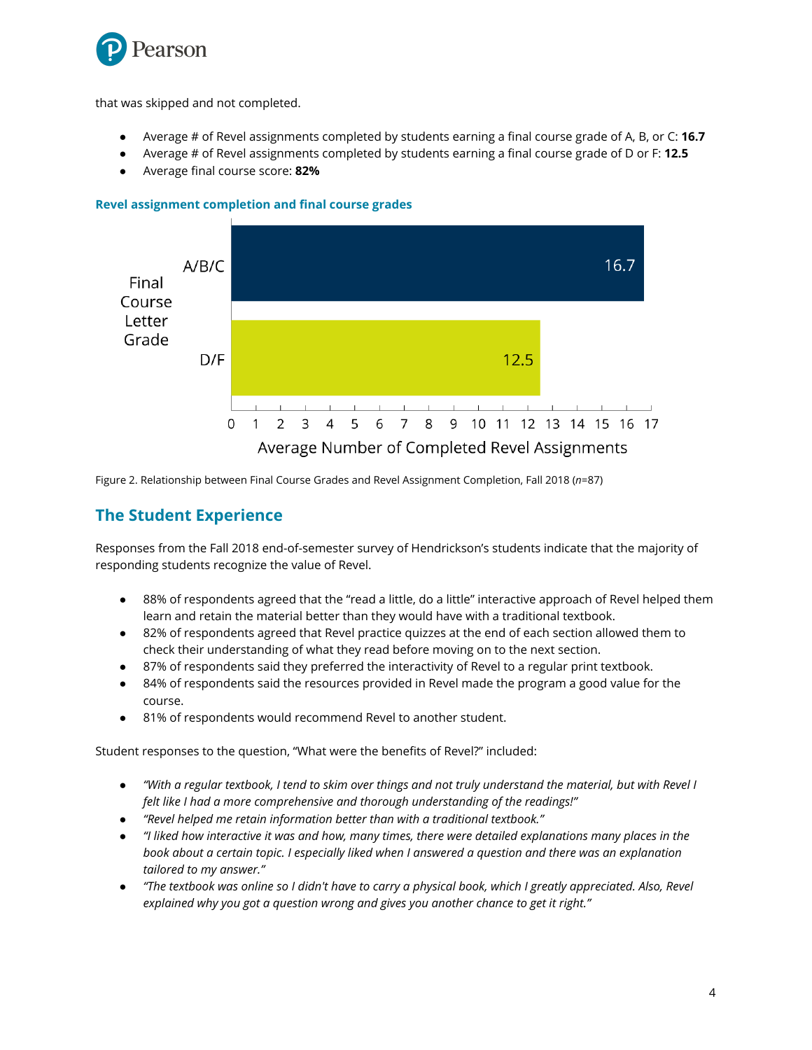

that was skipped and not completed.

- Average # of Revel assignments completed by students earning a final course grade of A, B, or C: **16.7**
- Average # of Revel assignments completed by students earning a final course grade of D or F: **12.5**
- Average final course score: **82%**

# **Revel assignment completion and final course grades**



Figure 2. Relationship between Final Course Grades and Revel Assignment Completion, Fall 2018 (*n*=87)

# **The Student Experience**

Responses from the Fall 2018 end-of-semester survey of Hendrickson's students indicate that the majority of responding students recognize the value of Revel.

- 88% of respondents agreed that the "read a little, do a little" interactive approach of Revel helped them learn and retain the material better than they would have with a traditional textbook.
- 82% of respondents agreed that Revel practice quizzes at the end of each section allowed them to check their understanding of what they read before moving on to the next section.
- 87% of respondents said they preferred the interactivity of Revel to a regular print textbook.
- 84% of respondents said the resources provided in Revel made the program a good value for the course.
- 81% of respondents would recommend Revel to another student.

Student responses to the question, "What were the benefits of Revel?" included:

- *● "With a regular textbook, I tend to skim over things and not truly understand the material, but with Revel I felt like I had a more comprehensive and thorough understanding of the readings!"*
- *● "Revel helped me retain information better than with a traditional textbook."*
- *● "I liked how interactive it was and how, many times, there were detailed explanations many places in the book about a certain topic. I especially liked when I answered a question and there was an explanation tailored to my answer."*
- *● "The textbook was online so I didn't have to carry a physical book, which I greatly appreciated. Also, Revel explained why you got a question wrong and gives you another chance to get it right."*